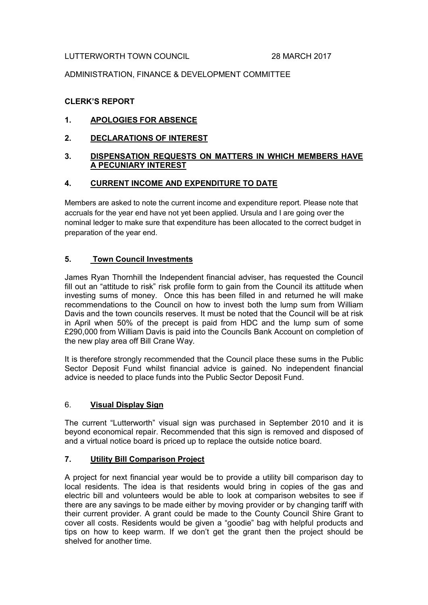#### LUTTERWORTH TOWN COUNCIL 28 MARCH 2017

### ADMINISTRATION, FINANCE & DEVELOPMENT COMMITTEE

### CLERK'S REPORT

## 1. APOLOGIES FOR ABSENCE

### 2. DECLARATIONS OF INTEREST

### 3. DISPENSATION REQUESTS ON MATTERS IN WHICH MEMBERS HAVE A PECUNIARY INTEREST

### 4. CURRENT INCOME AND EXPENDITURE TO DATE

Members are asked to note the current income and expenditure report. Please note that accruals for the year end have not yet been applied. Ursula and I are going over the nominal ledger to make sure that expenditure has been allocated to the correct budget in preparation of the year end.

### 5. Town Council Investments

James Ryan Thornhill the Independent financial adviser, has requested the Council fill out an "attitude to risk" risk profile form to gain from the Council its attitude when investing sums of money. Once this has been filled in and returned he will make recommendations to the Council on how to invest both the lump sum from William Davis and the town councils reserves. It must be noted that the Council will be at risk in April when 50% of the precept is paid from HDC and the lump sum of some £290,000 from William Davis is paid into the Councils Bank Account on completion of the new play area off Bill Crane Way.

It is therefore strongly recommended that the Council place these sums in the Public Sector Deposit Fund whilst financial advice is gained. No independent financial advice is needed to place funds into the Public Sector Deposit Fund.

#### 6. Visual Display Sign

The current "Lutterworth" visual sign was purchased in September 2010 and it is beyond economical repair. Recommended that this sign is removed and disposed of and a virtual notice board is priced up to replace the outside notice board.

#### 7. Utility Bill Comparison Project

A project for next financial year would be to provide a utility bill comparison day to local residents. The idea is that residents would bring in copies of the gas and electric bill and volunteers would be able to look at comparison websites to see if there are any savings to be made either by moving provider or by changing tariff with their current provider. A grant could be made to the County Council Shire Grant to cover all costs. Residents would be given a "goodie" bag with helpful products and tips on how to keep warm. If we don't get the grant then the project should be shelved for another time.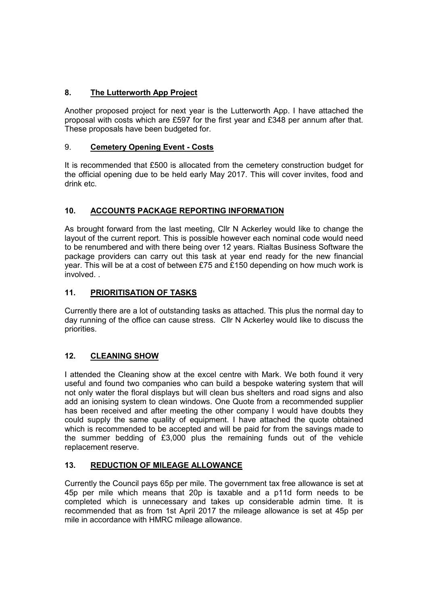# 8. The Lutterworth App Project

Another proposed project for next year is the Lutterworth App. I have attached the proposal with costs which are £597 for the first year and £348 per annum after that. These proposals have been budgeted for.

## 9. Cemetery Opening Event - Costs

It is recommended that £500 is allocated from the cemetery construction budget for the official opening due to be held early May 2017. This will cover invites, food and drink etc.

# 10. ACCOUNTS PACKAGE REPORTING INFORMATION

As brought forward from the last meeting, Cllr N Ackerley would like to change the layout of the current report. This is possible however each nominal code would need to be renumbered and with there being over 12 years. Rialtas Business Software the package providers can carry out this task at year end ready for the new financial year. This will be at a cost of between £75 and £150 depending on how much work is involved. .

# 11. PRIORITISATION OF TASKS

Currently there are a lot of outstanding tasks as attached. This plus the normal day to day running of the office can cause stress. Cllr N Ackerley would like to discuss the priorities.

# 12. CLEANING SHOW

I attended the Cleaning show at the excel centre with Mark. We both found it very useful and found two companies who can build a bespoke watering system that will not only water the floral displays but will clean bus shelters and road signs and also add an ionising system to clean windows. One Quote from a recommended supplier has been received and after meeting the other company I would have doubts they could supply the same quality of equipment. I have attached the quote obtained which is recommended to be accepted and will be paid for from the savings made to the summer bedding of £3,000 plus the remaining funds out of the vehicle replacement reserve.

## 13. REDUCTION OF MILEAGE ALLOWANCE

Currently the Council pays 65p per mile. The government tax free allowance is set at 45p per mile which means that 20p is taxable and a p11d form needs to be completed which is unnecessary and takes up considerable admin time. It is recommended that as from 1st April 2017 the mileage allowance is set at 45p per mile in accordance with HMRC mileage allowance.